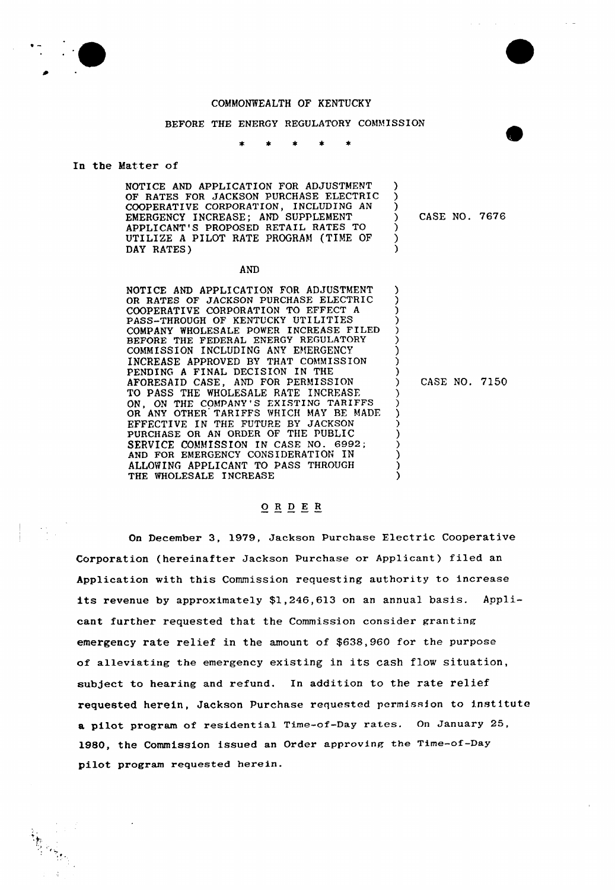



## COMMONWEALTH OF KENTUCKY

## BEFORE THE ENERGY REGULATORY COMMISSION

### In the Matter of

### **AND**

NOTICE AND APPLICATION FOR ADJUSTMENT OR RATES OF JACKSON PURCHASE ELECTRIC COOPERATIVE CORPORATION TO EFFECT <sup>A</sup> PASS-THROUGH OF KENTUCKY UTILITIES COMPANY WHOLESALE POWER INCREASE FILED BEFORE THE FEDERAL ENERGY REGULATORY COMMISSION INCLUDING ANY EMERGENCY INCREASE APPROVED BY THAT COMMISSION PENDING <sup>A</sup> FINAL DECISION IN THE AFORESAID CASE, AND FOR PERMISSION TO PASS THE WHOLESALE RATE INCREASE ON, ON THE COMPANY'S EXISTING TARIFFS OR ANY OTHER TARIFFS WHICH MAY BE MADI EFFECTIVE IN THE FUTURE BY JACKSON PURCHASE OR AN ORDER OF THE PUBLIC SERVICE COMMISSION IN CASE NO. 6992; AND FOR EMERGENCY CONSIDERATION IN ALLOWING APPLICANT TO PASS THROUGH THE WHOLESALE INCREASE ) ) ) ) ) ) ) ) ) ) CASE NO. 7150 ) ) ) ) ) ) ) ) )

## 0 <sup>R</sup> <sup>D</sup> E <sup>R</sup>

On December 3, 1979, Jackson Purchase Electric Cooperative Corporation (hereinafter Jackson Purchase or Applicant) filed an Application with this Commission requesting authority to increase its revenue by approximately \$1,246,613 on an annual basis. Applicant further requested that the Commission consider granting emergency rate relief in the amount of \$638,960 for the purpose of alleviating the emergency existing in its cash flow situation, subject to hearing and refund. In addition to the rate relief requested herein, Jackson Purchase requested Permission to institute a pilot program of residential Time-of-Day rates. On January 25, 1980, the Commission issued an Order approving the Time-of-Day pilot program requested herein.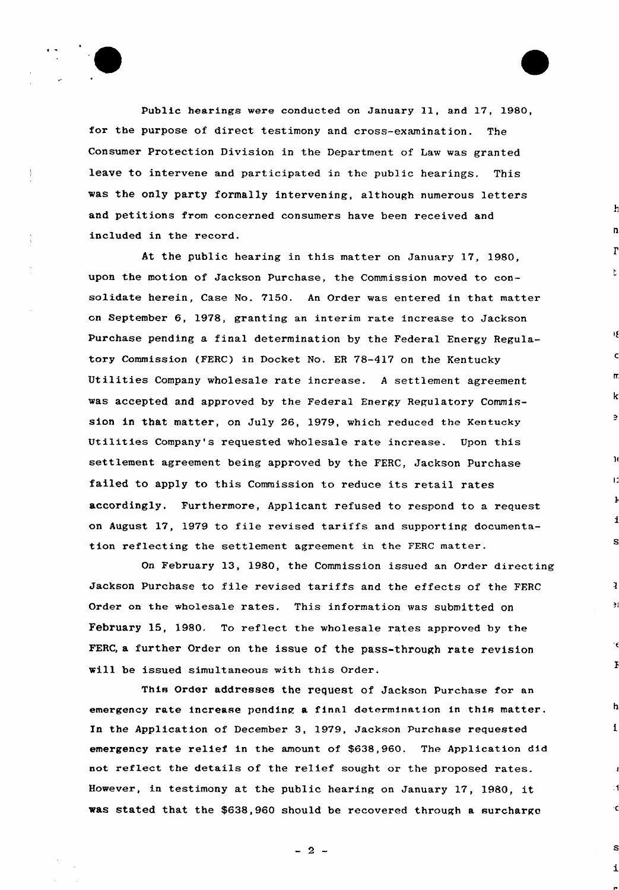Public hearings were conducted on January 11, and 17, 1980, for the purpose of direct testimony and cross-examination. The Consumer Protection Division in the Department of Law was granted leave to intervene and participated in the public hearings. This was the only party formally intervening, although numerous letters and petitions from concerned consumers have been received and included in the record.

ŀ.

e

S

ě)

F

 $\mathbf{f}$ 

i

 $\frac{1}{2}$ 

At the public hearing in this matter on January 17, 1980, upon the motion of Jackson Purchase, the Commission moved to consolidate herein, Case No. 7150. An Order was entered in that matter on September 6, 1978, granting an interim rate increase to Jackson Purchase pending a final determination by the Federal Energy Regulatory Commission (FERC) in Docket No. ER 78-417 on the Kentucky Utilities Company wholesale rate increase. <sup>A</sup> settlement agreement was accepted and approved by the Federal Energy Regulatory Commission in that matter, on July 26, 1979, which reduced the Kentucky Utilities Company's requested wholesale rate increase. Upon this settlement agreement being approved by the FERC, Jackson purchase failed to apply to this Commission to reduce its retail rates accordingly. Furthermore, Applicant refused to respond to a request on August 17, 1979 to file revised tariffs and supporting documentation reflecting the settlement agreement in the FERC matter.

On February 13, 1980, the Commission issued an Order directing Jackson Purchase to file revised tariffs and the effects of the FFRC Order on the wholesale rates. This information was submitted on February 15, 1980. To reflect the wholesale rates approved by the FERC, a further Order on the issue of the pass-through rate revision will be issued simultaneous with this Order.

This Order addresses the request of Jackson Purchase for an emergency rate increase pending a final determination in this matter. In the Application of December 3, 1979, Jackson Purchase requested emergency rate relief in the amount of \$638,960. The Application did not reflect the details of the relief sought or the proposed rates. However, in testimony at the public hearing on January 17, 1980, it was stated that the \$638,960 should be recovered through a surcharge

 $-2 -$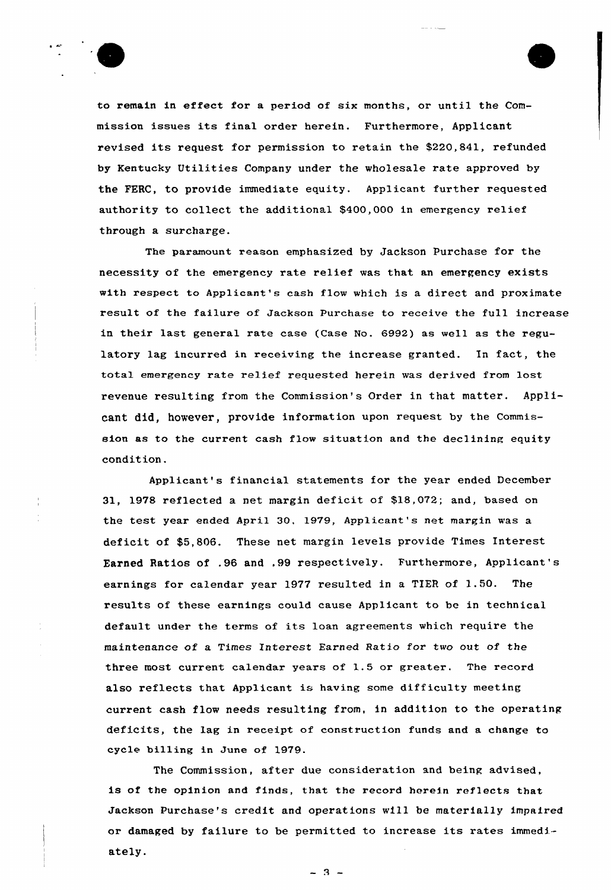

to remain in effect for a period of six months, or until the Commission issues its final order herein. Furthermore, Applicant revised its request for permission to retain the \$220,841, refunded by Kentucky Utilities Company under the wholesale rate approved by the FERC, to provide immediate equity. Applicant further requested authority to collect the additional \$400,000 in emergency relief through a surcharge.

The paramount reason emphasized by Jackson Purchase for the necessity of the emergency rate relief was that an emergency exists with respect to Applicant's cash flow which is a direct and proximate result of the failure of Jackson Purchase to receive the full increase in their last general rate case (Case No. 6992) as well as the regulatory lag incurred in receiving the increase granted. In fact, the total emergency rate relief requested herein was derived from lost revenue resulting from the Commission's Order in that matter. Applicant did, however, provide information upon request by the Commission as to the current cash flow situation and the declining equity condition.

Applicant's financial statements for the year ended December 31, 1978 reflected a net margin deficit of \$18,072; and, based on the test year ended April 30, 1979, Applicant's net margin was a deficit of \$5,806. These net margin levels provide Times Interest Earned Ratios of .96 and ,99 respectively. Furthermore, Applicant's earnings for calendar year 1977 resulted in <sup>a</sup> TIER of 1.50. The results of these earnings could cause Applicant to be in technical default under the terms of its loan agreements which require the maintenance of a Times Interest Earned Ratio for two out of the three most current calendar years of 1.5 or greater. The record also reflects that Applicant is having some difficulty meeting current cash flow needs resulting from, in addition to the operating deficits, the lag in receipt of construction funds and a change to cycle billing in June of 1979.

The Commission, after due consideration and being advised, is of the opinion and finds, that the record herein reflects that Jackson Purchase's credit and operations will be materially impaired or damaged by failure to be permitted to increase its rates immediately.

 $-3 -$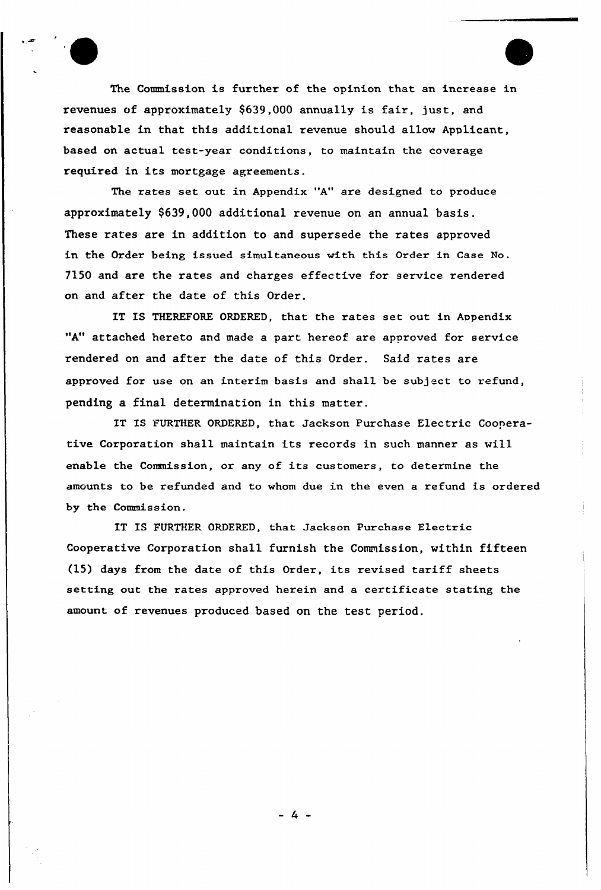The Commission is further of the opinion that an increase in revenues of approximately \$639,000 annually is fair, just, and reasonable in that this additional revenue should allow Applicant, based on actual test-year conditions, to maintain the coverage required in its mortgage agreements.

The rates set out in Appendix "A" are designed to produce approximately \$639,000 additional revenue on an annual basis. These rates are in addition to and supersede the rates approved in the Order being issued simultaneous with this Order in Case No. 7150 and are the rates and charges effective for service rendered on and after the date of this Order.

IT IS THEREFORE ORDERED, that the rates set out in Aopendix "A" attached hereto and made a part hereof are approved for service rendered on and after the date of this Order. Said rates are approved for use on an interim basis and shall be subject to refund, pending a final determination in this matter.

IT IS FURTHER ORDERED, that Jackson Purchase Electric Cooperative Corporation shall maintain its records in such manner as will enable the Commission, or any of its customers, to determine the amounts to be refunded and to whom due in the even a refund is ordered by the Commission.

IT IS FURTHER ORDERED, that Jackson Purchase Electric Cooperative Corporation shall furnish the Commission, within fifteen (15) days from the date of this Order, its revised tariff sheets setting out the rates approved herein and a certificate stating the amount of revenues produced based on the test period.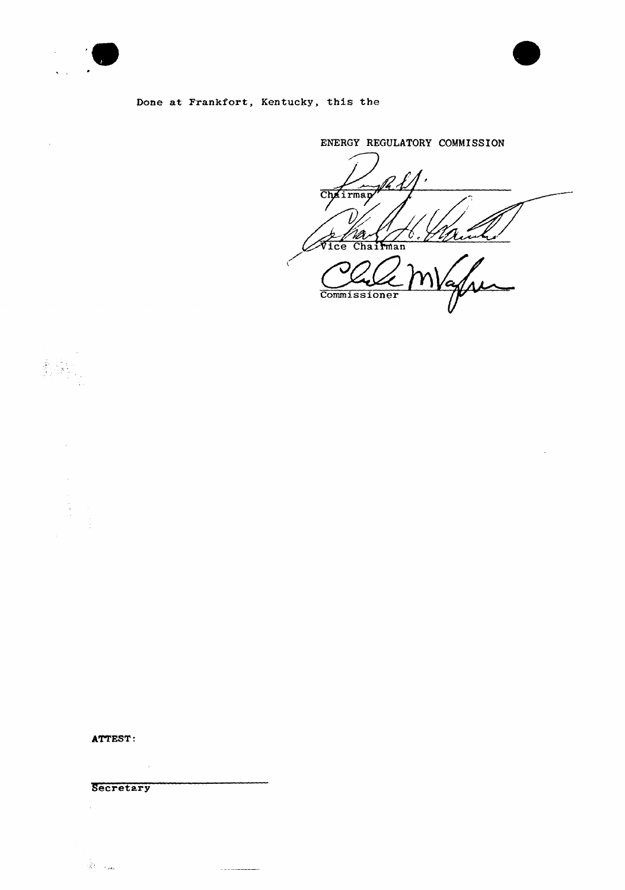

 $\mathcal{A}$ 

 $\begin{pmatrix} \hat{y}_1 & \hat{y}_1 \\ \hat{y}_2 & \hat{y}_2 \end{pmatrix}$ 



 $\bar{\mathcal{A}}$ 

## Done at Frankfort, Kentucky, this the

ENERGY REGULATORY COMMISSION Chairman Vice Chairman V **Commissioner** 

ATTEST:

**Secretary** 

 $\bar{\bar{z}}$ 

 $\hat{\mathcal{R}}^{\text{c}}_{\text{c}}$  , and

 $\bar{\mathcal{A}}$ 

 $\sim$   $\sim$   $\sim$   $\sim$   $\sim$   $\sim$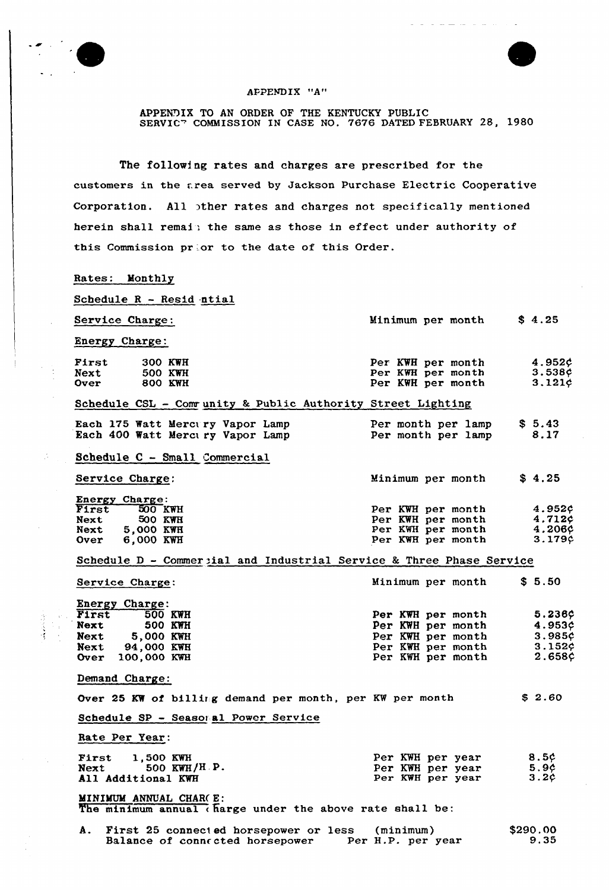

Ø,

 $\bar{1}$ 



## APPEND I<sup>X</sup> "A"

APPENDIX TO AN ORDER OF THE KENTUCKY PUBLIC<br>SERVICT COMMISSION IN CASE NO. 7676 DATED FEBRUARY 28, 1980

The following rates and charges are prescribed for the customers in the area served by Jackson Purchase Electric Cooperative Corporation. All >ther rates and charges not specifically mentioned herein shall remain the same as those in effect under authority of this Commission prior to the date of this Order.

## Rates: Monthly

| Schedule R - Resid ntial                                                                                                       |                                                                                                       |                                                   |
|--------------------------------------------------------------------------------------------------------------------------------|-------------------------------------------------------------------------------------------------------|---------------------------------------------------|
| Service Charge:                                                                                                                | Minimum per month                                                                                     | \$4.25                                            |
| Energy Charge:                                                                                                                 |                                                                                                       |                                                   |
| First<br>300 KWH<br>500 KWH<br>Next<br>800 KWH<br><b>Over</b>                                                                  | Per KWH per month $4.952\zeta$<br>Per KWH per month<br>Per KWH per month                              | $3.538c$<br>$3.121c$<br>$3.121$ ¢                 |
| Schedule CSL - Community & Public Authority Street Lighting                                                                    |                                                                                                       |                                                   |
| Each 175 Watt Mercury Vapor Lamp<br>Each 400 Watt Mercury Vapor Lamp                                                           | Per month per lamp $$5.43$<br>Per month per lamp 8.17                                                 |                                                   |
| Schedule C - Small Commercial                                                                                                  |                                                                                                       |                                                   |
| Service Charge:                                                                                                                | Minimum per month                                                                                     | \$4.25                                            |
| <b>Energy Charge:</b><br>First 500 KWH<br>Next 500 KWH<br><b>Next</b><br>500 KWH<br>Next 5,000 KWH<br>Over 6,000 KWH           | Per KWH per month<br>Per KWH per month<br>Per KWH per month<br>Per KWH per month                      | 4.952¢<br>4.7129<br>4.206c<br>3.179c              |
| Schedule D - Commercial and Industrial Service & Three Phase Service                                                           |                                                                                                       |                                                   |
| Service Charge:                                                                                                                | Minimum per month \$5.50                                                                              |                                                   |
| Energy Charge:<br>First 500 KWH<br>Next 500 KWH<br><b>Next</b><br><b>Next 5,000 KWH</b><br>Next 94,000 KWH<br>Over 100,000 KWH | Per KWH per month<br>Per KWH per month<br>Per KWH per month<br>Per KWH per month<br>Per KWH per month | 5.236¢<br>4.953c<br>3.985c<br>$3.152$ ¢<br>2.658c |
| Demand Charge:                                                                                                                 |                                                                                                       |                                                   |
| Over 25 KW of billing demand per month, per KW per month                                                                       |                                                                                                       | \$2.60                                            |
| Schedule SP - Seasonal Power Service                                                                                           |                                                                                                       |                                                   |
| Rate Per Year:                                                                                                                 |                                                                                                       |                                                   |
| <b>THE STATE OF STATE OF STATE OF STATE AND STATE</b>                                                                          | These ENTITY -                                                                                        | $C = A$                                           |

First 1,500 KWH Next 500 KWH/H.P Next 500 KWH/ Per KWH per year Per KWH pet year Per KWH per year 8.5\$  $5.96$ <br> $3.26$ 

MINIMUM ANNUAL CHAR( E: The minimum annual charge under the above rate shall be:

| A. First 25 connected horsepower or less | (minimum)         | \$290.00 |
|------------------------------------------|-------------------|----------|
| Balance of connected horsepower          | Per H.P. per year | 9.35     |